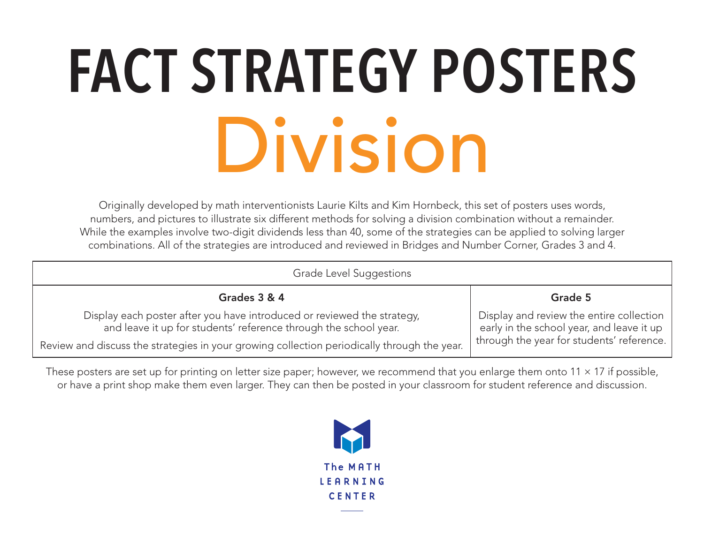### **FACT STRATEGY POSTERS** Division

Originally developed by math interventionists Laurie Kilts and Kim Hornbeck, this set of posters uses words, numbers, and pictures to illustrate six different methods for solving a division combination without a remainder. While the examples involve two-digit dividends less than 40, some of the strategies can be applied to solving larger combinations. All of the strategies are introduced and reviewed in Bridges and Number Corner, Grades 3 and 4.

| Grade Level Suggestions                                                                                                                     |                                                                                                                                    |
|---------------------------------------------------------------------------------------------------------------------------------------------|------------------------------------------------------------------------------------------------------------------------------------|
| Grades 3 & 4                                                                                                                                | Grade 5                                                                                                                            |
| Display each poster after you have introduced or reviewed the strategy,<br>and leave it up for students' reference through the school year. | Display and review the entire collection<br>early in the school year, and leave it up<br>through the year for students' reference. |
| Review and discuss the strategies in your growing collection periodically through the year.                                                 |                                                                                                                                    |

These posters are set up for printing on letter size paper; however, we recommend that you enlarge them onto  $11 \times 17$  if possible, or have a print shop make them even larger. They can then be posted in your classroom for student reference and discussion.

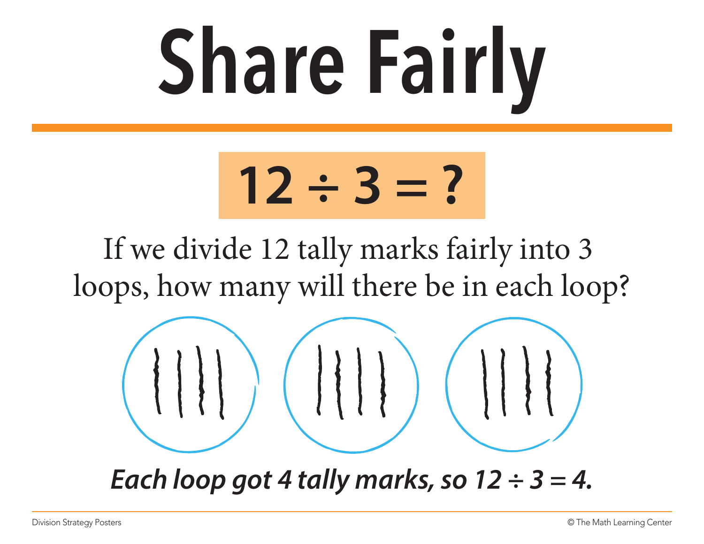### **Share Fairly**



If we divide 12 tally marks fairly into 3 loops, how many will there be in each loop?



*Each loop got 4 tally marks, so 12 ÷ 3 = 4.*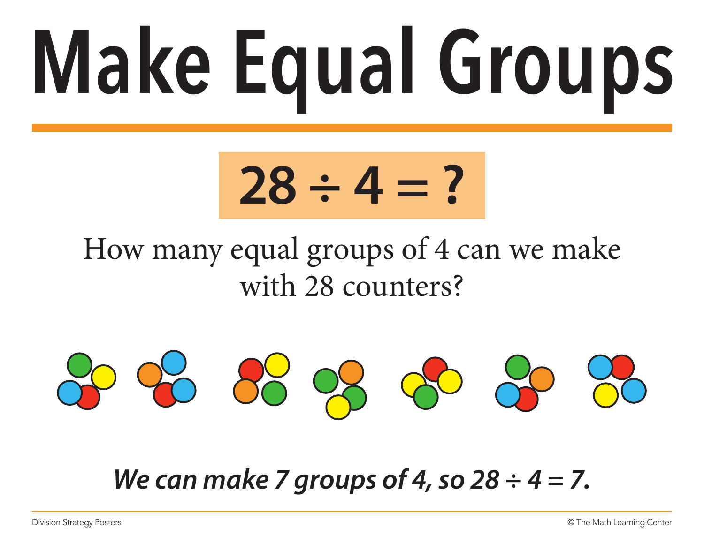# **Make Equal Groups**

#### **28 ÷ 4 = ?**

#### How many equal groups of 4 can we make with 28 counters?



*We can make 7 groups of 4, so 28 ÷ 4 = 7.*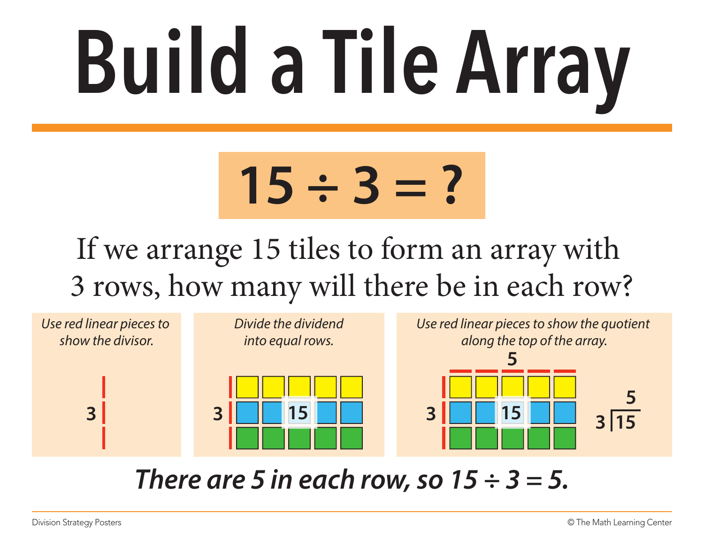### **Build a Tile Array**

### **15 ÷ 3 = ?**

#### If we arrange 15 tiles to form an array with 3 rows, how many will there be in each row?



*There are 5 in each row, so 15 ÷ 3 = 5.*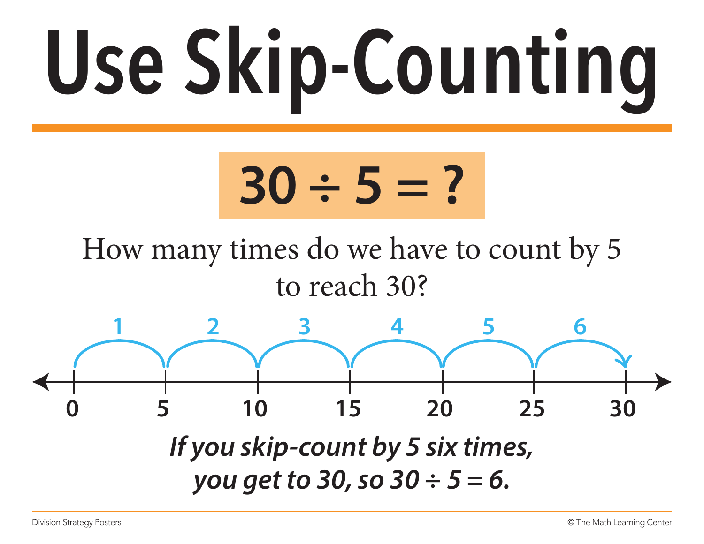# **Use Skip-Counting**



How many times do we have to count by 5 to reach 30?

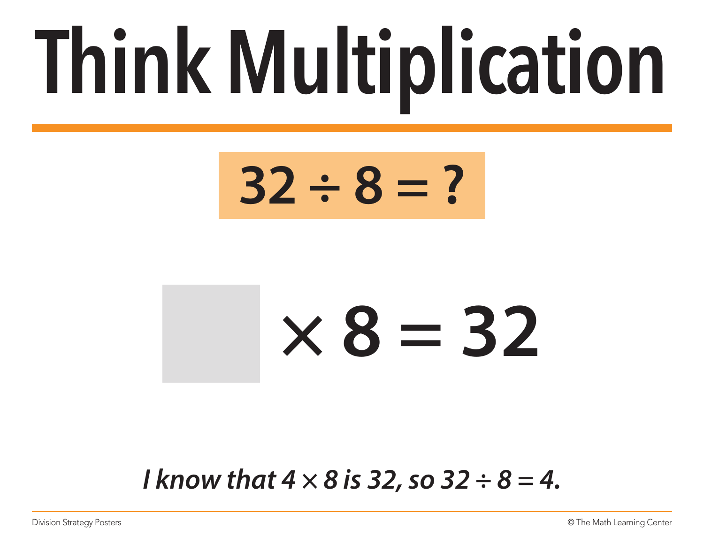### **Think Multiplication**



### **× 8 = 32**

*I know that 4 × 8 is 32, so 32 ÷ 8 = 4.*